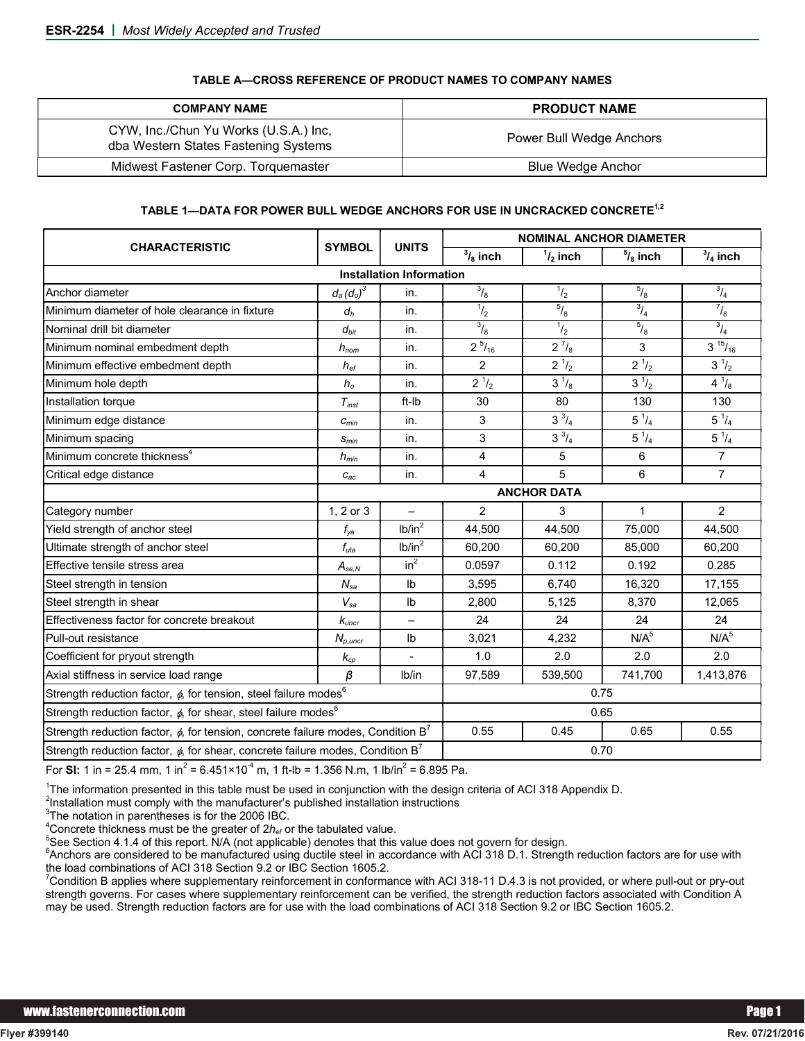| <b>COMPANY NAME</b>                                                           | <b>PRODUCT NAME</b>      |
|-------------------------------------------------------------------------------|--------------------------|
| CYW, Inc./Chun Yu Works (U.S.A.) Inc,<br>dba Western States Fastening Systems | Power Bull Wedge Anchors |
| Midwest Fastener Corp. Torquemaster                                           | <b>Blue Wedge Anchor</b> |

## TABLE A—CROSS REFERENCE OF PRODUCT NAMES TO COMPANY NAMES

## TABLE 1-DATA FOR POWER BULL WEDGE ANCHORS FOR USE IN UNCRACKED CONCRETE<sup>1,2</sup>

|                                                                                                   |                              |                          | <b>NOMINAL ANCHOR DIAMETER</b> |                                           |                              |                  |  |  |  |  |  |  |  |
|---------------------------------------------------------------------------------------------------|------------------------------|--------------------------|--------------------------------|-------------------------------------------|------------------------------|------------------|--|--|--|--|--|--|--|
| <b>CHARACTERISTIC</b>                                                                             | <b>SYMBOL</b>                | <b>UNITS</b>             | $\overline{3}/_8$ inch         | $\frac{1}{2}$ inch                        | $\frac{5}{8}$ inch           | $3/4$ inch       |  |  |  |  |  |  |  |
| <b>Installation Information</b>                                                                   |                              |                          |                                |                                           |                              |                  |  |  |  |  |  |  |  |
| Anchor diameter                                                                                   | $d_a$ $(d_o)^3$              | in.                      | $\frac{3}{8}$                  | $^{1/2}$                                  | $\frac{5}{8}$                | $^{3}/_{4}$      |  |  |  |  |  |  |  |
| Minimum diameter of hole clearance in fixture                                                     | $d_h$                        | in.                      | $^{1/2}$                       | $\frac{5}{8}$                             | $^{3}/_{4}$                  | $^{7}/_{8}$      |  |  |  |  |  |  |  |
| Nominal drill bit diameter                                                                        | $d_{bit}$                    | in.                      | $\frac{3}{8}$                  | $^{1}/_{2}$                               | $^{5}/_{8}$                  | $^{3}/_{4}$      |  |  |  |  |  |  |  |
| Minimum nominal embedment depth                                                                   | $h_{nom}$                    | in.                      | $2^{5}/_{16}$                  | $2^{7}/_{8}$                              | 3                            | $3^{15}/_{16}$   |  |  |  |  |  |  |  |
| Minimum effective embedment depth                                                                 | $h_{\text{ef}}$              | in.                      | $\overline{2}$                 | $2^{1/2}$                                 | $2^{1/2}$                    | $3^1/2$          |  |  |  |  |  |  |  |
| Minimum hole depth                                                                                | $h_{o}$                      | in.                      | $2^{1/2}$                      | $\frac{1}{3}$ <sup>1</sup> / <sub>8</sub> | $3^1/2$                      | $4^{1}/_{8}$     |  |  |  |  |  |  |  |
| Installation torque                                                                               | $T_{inst}$                   | ft-Ib                    | 30                             | 80                                        | 130                          |                  |  |  |  |  |  |  |  |
| Minimum edge distance                                                                             | $c_{\textit{min}}$           | in.                      | 3                              | $3^{3}/_{4}$                              | $5^{1}/_{4}$<br>$5^{1}/_{4}$ |                  |  |  |  |  |  |  |  |
| Minimum spacing                                                                                   | $S_{min}$                    | in.                      | 3                              | $3^{3}/_{4}$                              | $5^{1}/_{4}$<br>$5^{1}/_{4}$ |                  |  |  |  |  |  |  |  |
| Minimum concrete thickness <sup>4</sup>                                                           | $h_{min}$                    | in.                      | 4                              | 5                                         | 6                            | $\overline{7}$   |  |  |  |  |  |  |  |
| Critical edge distance                                                                            | $c_{ac}$                     | in.                      | 4                              | 5                                         | 6                            | $\overline{7}$   |  |  |  |  |  |  |  |
|                                                                                                   |                              |                          | <b>ANCHOR DATA</b>             |                                           |                              |                  |  |  |  |  |  |  |  |
| Category number                                                                                   | 1, 2 or 3                    | $\overline{\phantom{0}}$ | $\overline{2}$                 | 3                                         | 1                            | 2                |  |  |  |  |  |  |  |
| Yield strength of anchor steel                                                                    | $f_{ya}$                     | lb/in <sup>2</sup>       | 44,500                         | 44,500                                    | 75,000                       | 44,500           |  |  |  |  |  |  |  |
| Ultimate strength of anchor steel                                                                 | $f_{uta}$                    | lb/in <sup>2</sup>       | 60,200                         | 60,200                                    | 85,000                       | 60,200           |  |  |  |  |  |  |  |
| Effective tensile stress area                                                                     | $A_{se,N}$                   | $in^2$                   | 0.0597                         | 0.112                                     | 0.192                        | 0.285            |  |  |  |  |  |  |  |
| Steel strength in tension                                                                         | $N_{sa}$                     | Ib                       | 3,595                          | 6,740                                     | 16,320                       | 17,155           |  |  |  |  |  |  |  |
| Steel strength in shear                                                                           | $V_{sa}$                     | I <sub>b</sub>           | 2,800                          | 5,125                                     | 8,370                        | 12,065           |  |  |  |  |  |  |  |
| Effectiveness factor for concrete breakout                                                        | $k_{\mathit{uncr}}$          | -                        | 24                             | 24                                        | 24                           | 24               |  |  |  |  |  |  |  |
| Pull-out resistance                                                                               | $N_{p,uncr}$                 | I <sub>b</sub>           | 3,021                          | 4,232                                     | N/A <sup>5</sup>             | N/A <sup>5</sup> |  |  |  |  |  |  |  |
| Coefficient for pryout strength                                                                   | $k_{cp}$                     |                          | 1.0                            | 2.0                                       | 2.0                          | 2.0              |  |  |  |  |  |  |  |
| Axial stiffness in service load range                                                             | β                            | lb/in                    | 97,589                         | 539,500                                   | 741,700                      | 1,413,876        |  |  |  |  |  |  |  |
| Strength reduction factor, $\phi$ , for tension, steel failure modes $^6$                         | 0.75                         |                          |                                |                                           |                              |                  |  |  |  |  |  |  |  |
| Strength reduction factor, $\phi$ , for shear, steel failure modes <sup>6</sup>                   | 0.65                         |                          |                                |                                           |                              |                  |  |  |  |  |  |  |  |
| Strength reduction factor, $\phi$ , for tension, concrete failure modes, Condition B <sup>7</sup> | 0.55<br>0.45<br>0.65<br>0.55 |                          |                                |                                           |                              |                  |  |  |  |  |  |  |  |
| Strength reduction factor, $\phi$ , for shear, concrete failure modes, Condition B <sup>7</sup>   | 0.70                         |                          |                                |                                           |                              |                  |  |  |  |  |  |  |  |

For SI: 1 in = 25.4 mm, 1 in<sup>2</sup> = 6.451×10<sup>-4</sup> m, 1 ft-lb = 1.356 N.m, 1 lb/in<sup>2</sup> = 6.895 Pa.

<sup>1</sup>The information presented in this table must be used in conjunction with the design criteria of ACI 318 Appendix D.

 $2$ Installation must comply with the manufacturer's published installation instructions

 ${}^{3}$ The notation in parentheses is for the 2006 IBC.

<sup>4</sup> Concrete thickness must be the greater of  $2h_{ef}$  or the tabulated value.<br><sup>5</sup>See Section 4.1.4 of this report, N/A (not applicable) denotes that this

 $5$ See Section 4.1.4 of this report. N/A (not applicable) denotes that this value does not govern for design.

 $^6$ Anchors are considered to be manufactured using ductile steel in accordance with ACI 318 D.1. Strength reduction factors are for use with the load combinations of ACI 318 Section 9.2 or IBC Section 1605.2.

 $^7$ Condition B applies where supplementary reinforcement in conformance with ACI 318-11 D.4.3 is not provided, or where pull-out or pry-out strength governs. For cases where supplementary reinforcement can be verified, the strength reduction factors associated with Condition A may be used. Strength reduction factors are for use with the load combinations of ACI 318 Section 9.2 or IBC Section 1605.2.